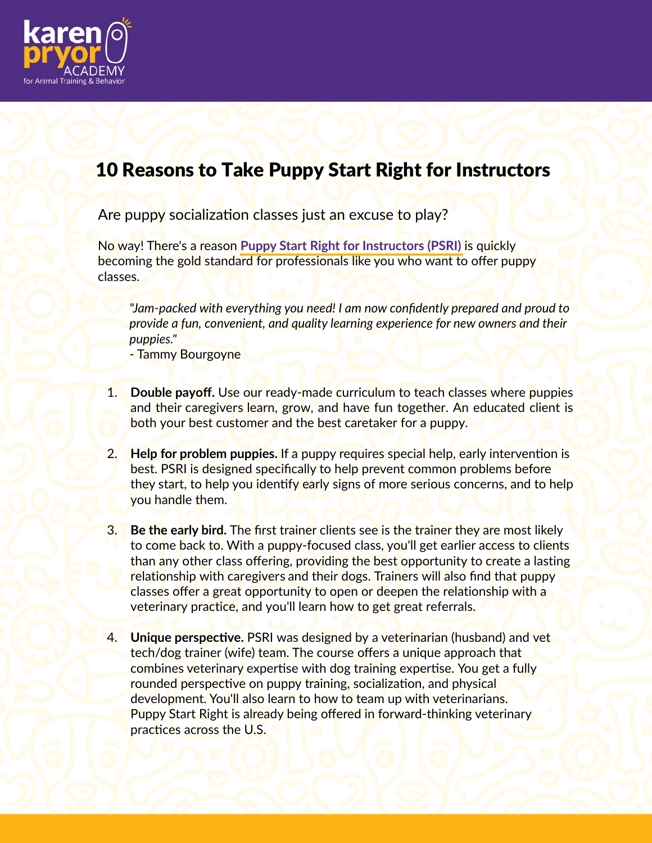

## 10 Reasons to Take Puppy Start Right for Instructors

Are puppy socialization classes just an excuse to play?

N<mark>o way! The</mark>re's a reason Puppy Start Right for Instructors (PSRI) is quickly the the gold standard for professionals like you who want to offer puppyclasses.

*"Jam-packed with everything you need! I am now confidently prepared and proud to provide a fun, convenient, and quality learning experience for new owners and their puppies."*

- Tammy Bourgoyne

- **Double payoff.** Use our ready-made curriculum to teach classes where puppies and their caregivers learn, grow, and have fun together. An educated client is both your best customer and the best caretaker for a puppy. 1.
- **Help for problem puppies.** If a puppy requires special help, early intervention is best. PSRI is designed specifically to help prevent common problems before they start, to help you identify early signs of more serious concerns, and to help you handle them. 2.
- **Be the early bird.** The first trainer clients see is the trainer they are most likely to come back to. With a puppy-focused class, you'll get earlier access to clients than any other class offering, providing the best opportunity to create a lasting relationship with caregivers and their dogs. Trainers will also find that puppy classes offer a great opportunity to open or deepen the relationship with a veterinary practice, and you'll learn how to get great referrals. 3.
- **Unique perspective.** PSRI was designed by a veterinarian (husband) and vet tech/dog trainer (wife) team. The course offers a unique approach that combines veterinary expertise with dog training expertise. You get a fully rounded perspective on puppy training, socialization, and physical development. You'll also learn to how to team up with veterinarians. Puppy Start Right is already being offered in forward-thinking veterinary practices across the U.S. 4.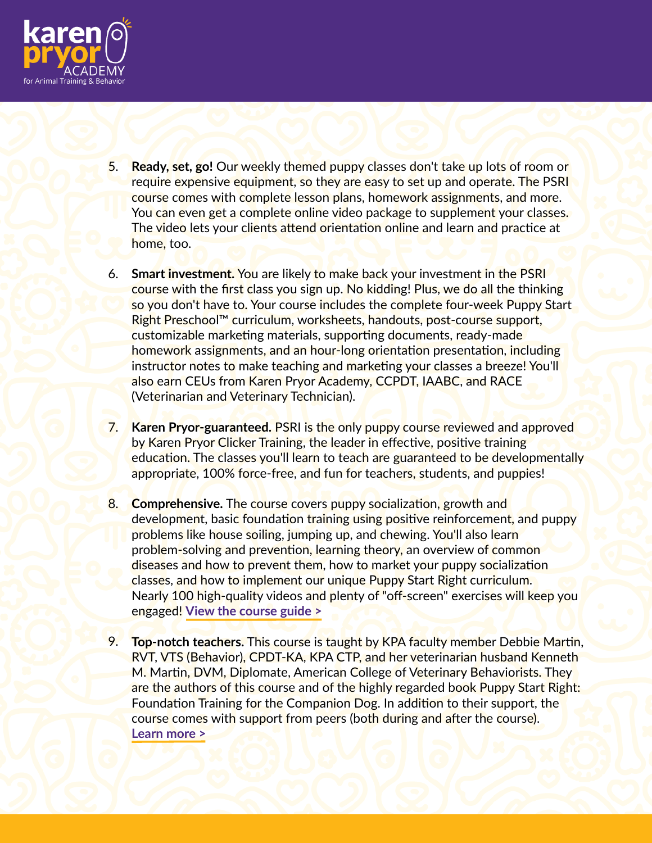

- **Ready, set, go!** Our weekly themed puppy classes don't take up lots of room or require expensive equipment, so they are easy to set up and operate. The PSRI course comes with complete lesson plans, homework assignments, and more. You can even get a complete online video package to supplement your classes. The video lets your clients attend orientation online and learn and practice at home, too. 5.
- **Smart investment.** You are likely to make back your investment in the PSRI 6. course with the first class you sign up. No kidding! Plus, we do all the thinking so you don't have to. Your course includes the complete four-week Puppy Start Right Preschool™ curriculum, worksheets, handouts, post-course support, customizable marketing materials, supporting documents, ready-made homework assignments, and an hour-long orientation presentation, including instructor notes to make teaching and marketing your classes a breeze! You'll also earn CEUs from Karen Pryor Academy, CCPDT, IAABC, and RACE (Veterinarian and Veterinary Technician).
- **Karen Pryor-guaranteed.** PSRI is the only puppy course reviewed and approved by Karen Pryor Clicker Training, the leader in effective, positive training education. The classes you'll learn to teach are guaranteed to be developmentally appropriate, 100% force-free, and fun for teachers, students, and puppies! 7.
- **Comprehensive.** The course covers puppy socialization, growth and development, basic foundation training using positive reinforcement, and puppy problems like house soiling, jumping up, and chewing. You'll also learn problem-solving and prevention, learning theory, an overview of common diseases and how to prevent them, how to market your puppy socialization classes, and how to implement our unique Puppy Start Right curriculum. Nearly 100 high-quality videos and plenty of "off-screen" exercises will keep you engaged<mark>! [View the course guide >](https://karenpryoracademy.com/wp-content/uploads/2022/05/Puppy-Start-Right-for-Instructors-Course-Guide.pdf)</mark> 8.
- **Top-notch teachers.** This course is taught by KPA faculty member Debbie Martin, RVT, VTS (Behavior), CPDT-KA, KPA CTP, and her veterinarian husband Kenneth M. Martin, DVM, Diplomate, American College of Veterinary Behaviorists. They are the authors of this course and of the highly regarded book Puppy Start Right: Foundation Training for the Companion Dog. In addition to their support, the course comes with support from peers (both during and after the course). **Learn more >** 9. https://www.karenpryoracademy.com/courses/puppy-start-right/#faq